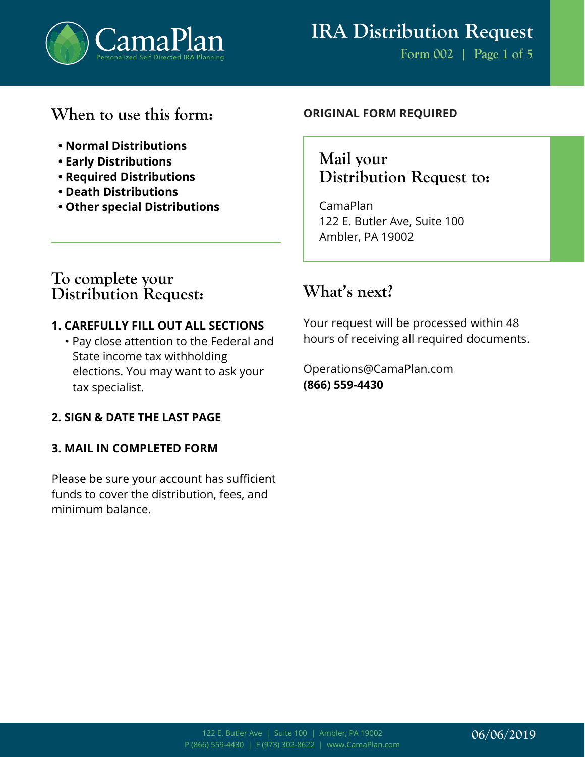

### **When to use this form:**

- **Normal Distributions**
- **Early Distributions**
- **Required Distributions**
- **Death Distributions**
- **Other special Distributions**

#### **ORIGINAL FORM REQUIRED**

### Mail your **Distribution Request to:**

CamaPlan 122 E. Butler Ave, Suite 100 Ambler, PA 19002

### **To complete your Distribution Request:**

### **1. CAREFULLY FILL OUT ALL SECTIONS**

• Pay close attention to the Federal and State income tax withholding elections. You may want to ask your tax specialist.

### **2. SIGN & DATE THE LAST PAGE**

#### **3. MAIL IN COMPLETED FORM**

Please be sure your account has sufficient funds to cover the distribution, fees, and minimum balance.

### **What's next?**

Your request will be processed within 48 hours of receiving all required documents.

Operations@CamaPlan.com **(866) 559-4430**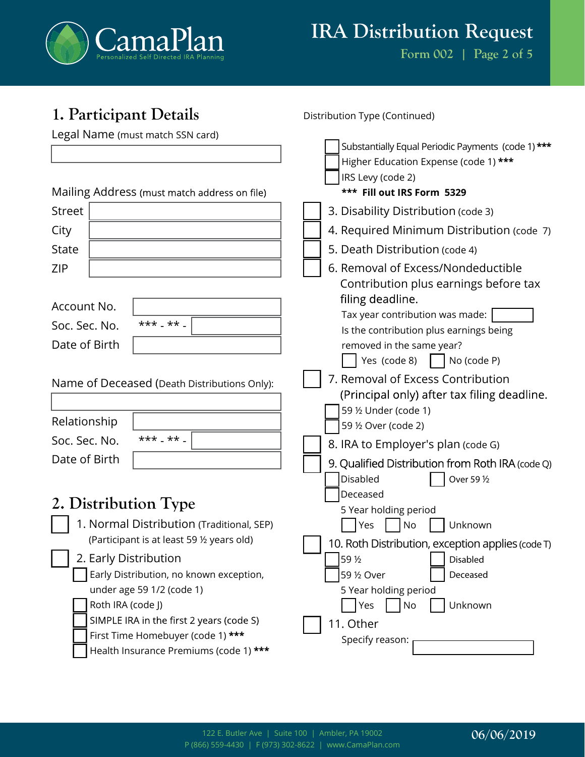

**Form 002 | Page 2 of 5**

| 1. Participant Details                                               | Distribution Type (Continued)                                                                                                     |
|----------------------------------------------------------------------|-----------------------------------------------------------------------------------------------------------------------------------|
| Legal Name (must match SSN card)                                     | Substantially Equal Periodic Payments (code 1)***<br>Higher Education Expense (code 1) ***<br>IRS Levy (code 2)                   |
| Mailing Address (must match address on file)                         | *** Fill out IRS Form 5329                                                                                                        |
| <b>Street</b>                                                        | 3. Disability Distribution (code 3)                                                                                               |
| City                                                                 | 4. Required Minimum Distribution (code 7)                                                                                         |
| <b>State</b>                                                         | 5. Death Distribution (code 4)                                                                                                    |
| <b>ZIP</b>                                                           | 6. Removal of Excess/Nondeductible<br>Contribution plus earnings before tax                                                       |
| Account No.                                                          | filing deadline.<br>Tax year contribution was made:                                                                               |
| $***$ ** $-$<br>Soc. Sec. No.                                        | Is the contribution plus earnings being                                                                                           |
| Date of Birth                                                        | removed in the same year?                                                                                                         |
|                                                                      | Yes (code 8)<br>No (code P)                                                                                                       |
| Name of Deceased (Death Distributions Only):<br>Relationship         | 7. Removal of Excess Contribution<br>(Principal only) after tax filing deadline.<br>59 1/2 Under (code 1)<br>59 1/2 Over (code 2) |
| $***$ ** $-$<br>Soc. Sec. No.                                        | 8. IRA to Employer's plan (code G)                                                                                                |
| Date of Birth                                                        | 9. Qualified Distribution from Roth IRA (code Q)                                                                                  |
| 2. Distribution Type                                                 | Disabled<br>Over 59 1/2<br>Deceased<br>5 Year holding period                                                                      |
| 1. Normal Distribution (Traditional, SEP)                            | Unknown<br>Yes<br>No                                                                                                              |
| (Participant is at least 59 1/2 years old)                           | 10. Roth Distribution, exception applies (code T)                                                                                 |
| 2. Early Distribution                                                | 59 1/2<br>Disabled                                                                                                                |
| Early Distribution, no known exception,<br>under age 59 1/2 (code 1) | 59 1/2 Over<br>Deceased<br>5 Year holding period                                                                                  |
| Roth IRA (code J)                                                    | Unknown<br>No<br>Yes                                                                                                              |
| SIMPLE IRA in the first 2 years (code S)                             | 11. Other                                                                                                                         |
| First Time Homebuyer (code 1) ***                                    | Specify reason:                                                                                                                   |
| Health Insurance Premiums (code 1) ***                               |                                                                                                                                   |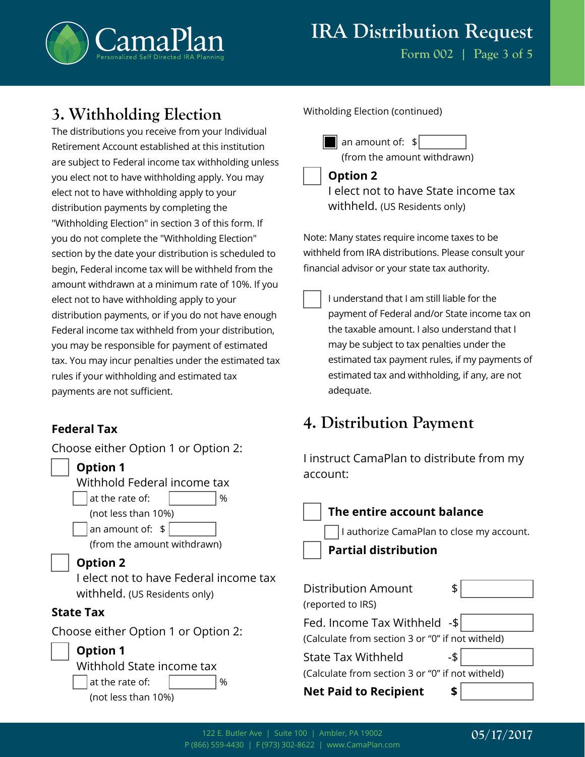

**Form 002 | Page 3 of 5**

### **3. Withholding Election**

The distributions you receive from your Individual Retirement Account established at this institution are subject to Federal income tax withholding unless you elect not to have withholding apply. You may elect not to have withholding apply to your distribution payments by completing the "Withholding Election" in section 3 of this form. If you do not complete the "Withholding Election" section by the date your distribution is scheduled to begin, Federal income tax will be withheld from the amount withdrawn at a minimum rate of 10%. If you elect not to have withholding apply to your distribution payments, or if you do not have enough Federal income tax withheld from your distribution, you may be responsible for payment of estimated tax. You may incur penalties under the estimated tax rules if your withholding and estimated tax payments are not sufficient.

### **Federal Tax**

Choose either Option 1 or Option 2:

| <b>Option 1</b><br>Withhold Federal income tax                                                                                                         | T II ISU UCC CANTAF IAN C<br>account:                                                                                                      |
|--------------------------------------------------------------------------------------------------------------------------------------------------------|--------------------------------------------------------------------------------------------------------------------------------------------|
| at the rate of:<br>%<br>(not less than 10%)<br>an amount of: $$$<br>(from the amount withdrawn)                                                        | The entire acco<br>I authorize Cama<br><b>Partial distribu</b>                                                                             |
| <b>Option 2</b><br>I elect not to have Federal income tax<br>withheld. (US Residents only)                                                             | Distribution Amount<br>(reported to IRS)                                                                                                   |
| <b>State Tax</b><br>Choose either Option 1 or Option 2:<br><b>Option 1</b><br>Withhold State income tax<br>at the rate of:<br>%<br>(not less than 10%) | Fed. Income Tax With<br>(Calculate from section 3<br><b>State Tax Withheld</b><br>(Calculate from section 3<br><b>Net Paid to Recipier</b> |
|                                                                                                                                                        |                                                                                                                                            |

#### Witholding Election (continued)

 $\|\|\|$  an amount of:  $\|$ (from the amount withdrawn)

#### **Option 2**

I elect not to have State income tax withheld. (US Residents only)

Note: Many states require income taxes to be withheld from IRA distributions. Please consult your financial advisor or your state tax authority.

I understand that I am still liable for the payment of Federal and/or State income tax on the taxable amount. I also understand that I may be subject to tax penalties under the estimated tax payment rules, if my payments of estimated tax and withholding, if any, are not adequate.

## **4. Distribution Payment**

I instruct CamaPlan to distribute from my

| The entire account balance                       |  |  |
|--------------------------------------------------|--|--|
| I authorize CamaPlan to close my account.        |  |  |
| <b>Partial distribution</b>                      |  |  |
|                                                  |  |  |
| Distribution Amount<br>\$                        |  |  |
| (reported to IRS)                                |  |  |
| Fed. Income Tax Withheld -\$                     |  |  |
| (Calculate from section 3 or "0" if not witheld) |  |  |
| -\$<br><b>State Tax Withheld</b>                 |  |  |
| (Calculate from section 3 or "0" if not witheld) |  |  |
| <b>Net Paid to Recipient</b><br>S                |  |  |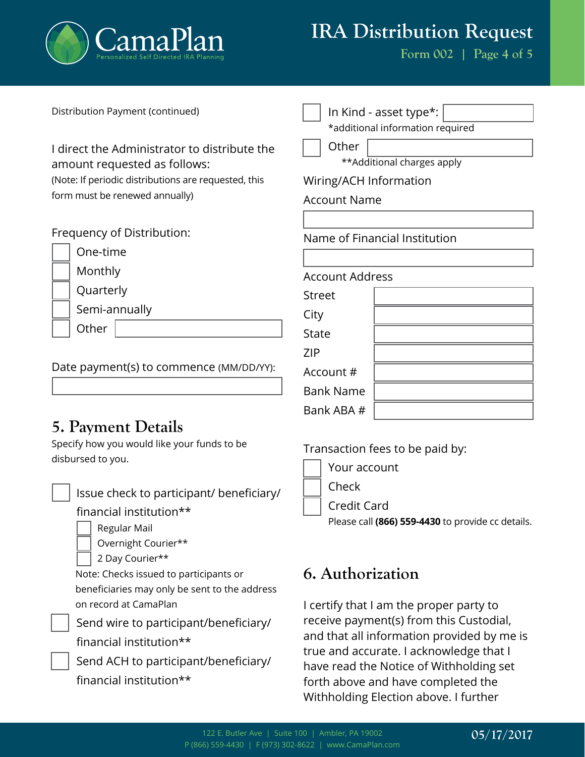

financial institution\*\*

# **IRA Distribution Request**

**Form 002 | Page 4 of 5**

| Distribution Payment (continued)                                 | In Kind - asset type*:                                                             |
|------------------------------------------------------------------|------------------------------------------------------------------------------------|
|                                                                  | *additional information required                                                   |
| I direct the Administrator to distribute the                     | Other                                                                              |
| amount requested as follows:                                     | **Additional charges apply                                                         |
| (Note: If periodic distributions are requested, this             | Wiring/ACH Information                                                             |
| form must be renewed annually)                                   | <b>Account Name</b>                                                                |
|                                                                  |                                                                                    |
| Frequency of Distribution:                                       | Name of Financial Institution                                                      |
| One-time                                                         |                                                                                    |
| Monthly                                                          | <b>Account Address</b>                                                             |
| Quarterly                                                        | <b>Street</b>                                                                      |
| Semi-annually                                                    | City                                                                               |
| Other                                                            | <b>State</b>                                                                       |
| Date payment(s) to commence (MM/DD/YY):                          | <b>ZIP</b>                                                                         |
|                                                                  | Account #                                                                          |
|                                                                  | <b>Bank Name</b>                                                                   |
|                                                                  | Bank ABA #                                                                         |
| <b>5. Payment Details</b>                                        |                                                                                    |
| Specify how you would like your funds to be<br>disbursed to you. | Transaction fees to be paid by:                                                    |
|                                                                  | Your account                                                                       |
|                                                                  | Check                                                                              |
| Issue check to participant/ beneficiary/                         | <b>Credit Card</b>                                                                 |
| financial institution**                                          | Please call (866) 559-4430 to provide cc details.                                  |
| Regular Mail                                                     |                                                                                    |
| Overnight Courier**                                              |                                                                                    |
| 2 Day Courier**<br>Note: Checks issued to participants or        | 6. Authorization                                                                   |
| beneficiaries may only be sent to the address                    |                                                                                    |
| on record at CamaPlan                                            | I certify that I am the proper party to                                            |
| Send wire to participant/beneficiary/                            | receive payment(s) from this Custodial,                                            |
| financial institution**                                          | and that all information provided by me is                                         |
| Send ACH to participant/beneficiary/                             | true and accurate. I acknowledge that I<br>have read the Notice of Withholding sot |

that I have read the Notice of Withholding set forth above and have completed the Withholding Election above. I further